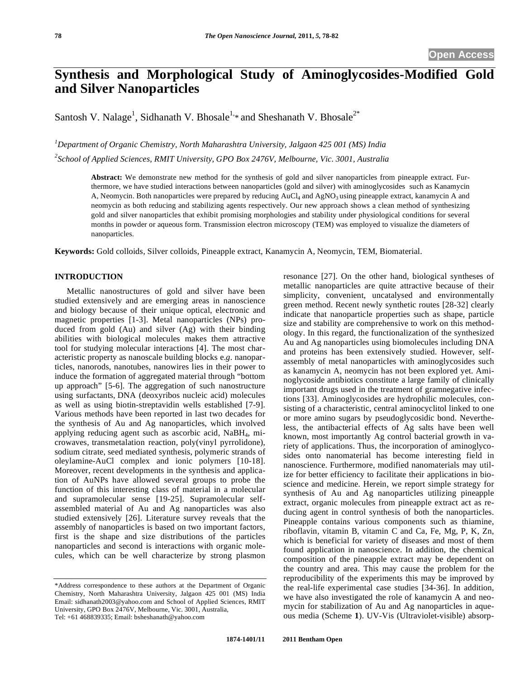# **Synthesis and Morphological Study of Aminoglycosides-Modified Gold and Silver Nanoparticles**

Santosh V. Nalage<sup>1</sup>, Sidhanath V. Bhosale<sup>1,\*</sup> and Sheshanath V. Bhosale<sup>2\*</sup>

*1 Department of Organic Chemistry, North Maharashtra University, Jalgaon 425 001 (MS) India 2 School of Applied Sciences, RMIT University, GPO Box 2476V, Melbourne, Vic. 3001, Australia* 

> **Abstract:** We demonstrate new method for the synthesis of gold and silver nanoparticles from pineapple extract. Furthermore, we have studied interactions between nanoparticles (gold and silver) with aminoglycosides such as Kanamycin A, Neomycin. Both nanoparticles were prepared by reducing AuCl<sub>4</sub> and AgNO<sub>3</sub> using pineapple extract, kanamycin A and neomycin as both reducing and stabilizing agents respectively. Our new approach shows a clean method of synthesizing gold and silver nanoparticles that exhibit promising morphologies and stability under physiological conditions for several months in powder or aqueous form. Transmission electron microscopy (TEM) was employed to visualize the diameters of nanoparticles.

**Keywords:** Gold colloids, Silver colloids, Pineapple extract, Kanamycin A, Neomycin, TEM, Biomaterial.

## **INTRODUCTION**

Metallic nanostructures of gold and silver have been studied extensively and are emerging areas in nanoscience and biology because of their unique optical, electronic and magnetic properties [1-3]. Metal nanoparticles (NPs) produced from gold (Au) and silver (Ag) with their binding abilities with biological molecules makes them attractive tool for studying molecular interactions [4]. The most characteristic property as nanoscale building blocks e.*g.* nanoparticles, nanorods, nanotubes, nanowires lies in their power to induce the formation of aggregated material through "bottom up approach" [5-6]. The aggregation of such nanostructure using surfactants, DNA (deoxyribos nucleic acid) molecules as well as using biotin-streptavidin wells established [7-9]. Various methods have been reported in last two decades for the synthesis of Au and Ag nanoparticles, which involved applying reducing agent such as ascorbic acid, NaBH4, microwaves, transmetalation reaction, poly(vinyl pyrrolidone), sodium citrate, seed mediated synthesis, polymeric strands of oleylamine-AuCl complex and ionic polymers [10-18]. Moreover, recent developments in the synthesis and application of AuNPs have allowed several groups to probe the function of this interesting class of material in a molecular and supramolecular sense [19-25]. Supramolecular selfassembled material of Au and Ag nanoparticles was also studied extensively [26]. Literature survey reveals that the assembly of nanoparticles is based on two important factors, first is the shape and size distributions of the particles nanoparticles and second is interactions with organic molecules, which can be well characterize by strong plasmon

resonance [27]. On the other hand, biological syntheses of metallic nanoparticles are quite attractive because of their simplicity, convenient, uncatalysed and environmentally green method. Recent newly synthetic routes [28-32] clearly indicate that nanoparticle properties such as shape, particle size and stability are comprehensive to work on this methodology. In this regard, the functionalization of the synthesized Au and Ag nanoparticles using biomolecules including DNA and proteins has been extensively studied. However, selfassembly of metal nanoparticles with aminoglycosides such as kanamycin A, neomycin has not been explored yet. Aminoglycoside antibiotics constitute a large family of clinically important drugs used in the treatment of gramnegative infections [33]. Aminoglycosides are hydrophilic molecules, consisting of a characteristic, central aminocyclitol linked to one or more amino sugars by pseudoglycosidic bond. Nevertheless, the antibacterial effects of Ag salts have been well known, most importantly Ag control bacterial growth in variety of applications. Thus, the incorporation of aminoglycosides onto nanomaterial has become interesting field in nanoscience. Furthermore, modified nanomaterials may utilize for better efficiency to facilitate their applications in bioscience and medicine. Herein, we report simple strategy for synthesis of Au and Ag nanoparticles utilizing pineapple extract, organic molecules from pineapple extract act as reducing agent in control synthesis of both the nanoparticles. Pineapple contains various components such as thiamine, riboflavin, vitamin B, vitamin C and Ca, Fe, Mg, P, K, Zn, which is beneficial for variety of diseases and most of them found application in nanoscience. In addition, the chemical composition of the pineapple extract may be dependent on the country and area. This may cause the problem for the reproducibility of the experiments this may be improved by the real-life experimental case studies [34-36]. In addition, we have also investigated the role of kanamycin A and neomycin for stabilization of Au and Ag nanoparticles in aqueous media (Scheme **1**). UV-Vis (Ultraviolet-visible) absorp-

<sup>\*</sup>Address correspondence to these authors at the Department of Organic Chemistry, North Maharashtra University, Jalgaon 425 001 (MS) India Email: sidhanath2003@yahoo.com and School of Applied Sciences, RMIT University, GPO Box 2476V, Melbourne, Vic. 3001, Australia, Tel: +61 468839335; Email: bsheshanath@yahoo.com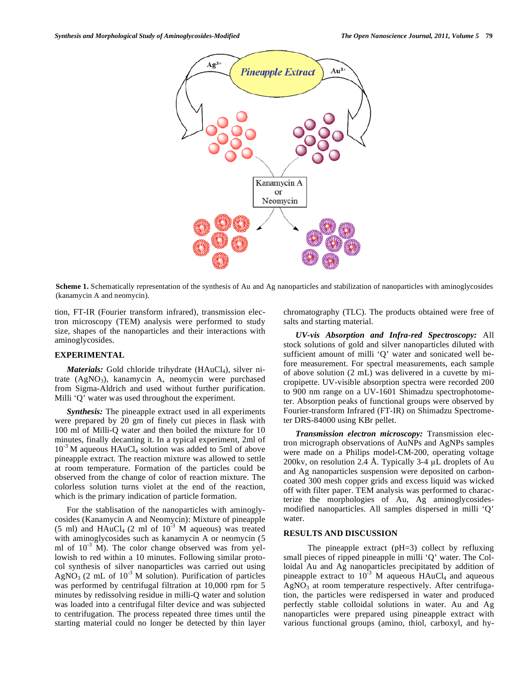

**Scheme 1.** Schematically representation of the synthesis of Au and Ag nanoparticles and stabilization of nanoparticles with aminoglycosides (kanamycin A and neomycin).

tion, FT-IR (Fourier transform infrared), transmission electron microscopy (TEM) analysis were performed to study size, shapes of the nanoparticles and their interactions with aminoglycosides.

## **EXPERIMENTAL**

*Materials:* Gold chloride trihydrate (HAuCl<sub>4</sub>), silver nitrate  $(AgNO<sub>3</sub>)$ , kanamycin A, neomycin were purchased from Sigma-Aldrich and used without further purification. Milli 'Q' water was used throughout the experiment.

*Synthesis:* The pineapple extract used in all experiments were prepared by 20 gm of finely cut pieces in flask with 100 ml of Milli-Q water and then boiled the mixture for 10 minutes, finally decanting it. In a typical experiment, 2ml of  $10^{-3}$  M aqueous HAuCl<sub>4</sub> solution was added to 5ml of above pineapple extract. The reaction mixture was allowed to settle at room temperature. Formation of the particles could be observed from the change of color of reaction mixture. The colorless solution turns violet at the end of the reaction, which is the primary indication of particle formation.

For the stablisation of the nanoparticles with aminoglycosides (Kanamycin A and Neomycin): Mixture of pineapple (5 ml) and  $HAuCl_4$  (2 ml of  $10^{-3}$  M aqueous) was treated with aminoglycosides such as kanamycin A or neomycin (5 ml of  $10^{-3}$  M). The color change observed was from yellowish to red within a 10 minutes. Following similar protocol synthesis of silver nanoparticles was carried out using AgNO<sub>3</sub> (2 mL of  $10^{-3}$  M solution). Purification of particles was performed by centrifugal filtration at 10,000 rpm for 5 minutes by redissolving residue in milli-Q water and solution was loaded into a centrifugal filter device and was subjected to centrifugation. The process repeated three times until the starting material could no longer be detected by thin layer chromatography (TLC). The products obtained were free of salts and starting material.

*UV-vis Absorption and Infra-red Spectroscopy:* All stock solutions of gold and silver nanoparticles diluted with sufficient amount of milli 'Q' water and sonicated well before measurement. For spectral measurements, each sample of above solution (2 mL) was delivered in a cuvette by micropipette. UV-visible absorption spectra were recorded 200 to 900 nm range on a UV-1601 Shimadzu spectrophotometer. Absorption peaks of functional groups were observed by Fourier-transform Infrared (FT-IR) on Shimadzu Spectrometer DRS-84000 using KBr pellet.

*Transmission electron microscopy:* Transmission electron micrograph observations of AuNPs and AgNPs samples were made on a Philips model-CM-200, operating voltage 200kv, on resolution 2.4 Å. Typically 3-4  $\mu$ L droplets of Au and Ag nanoparticles suspension were deposited on carboncoated 300 mesh copper grids and excess liquid was wicked off with filter paper. TEM analysis was performed to characterize the morphologies of Au, Ag aminoglycosidesmodified nanoparticles. All samples dispersed in milli 'Q' water.

## **RESULTS AND DISCUSSION**

The pineapple extract (pH=3) collect by refluxing small pieces of ripped pineapple in milli 'Q' water. The Colloidal Au and Ag nanoparticles precipitated by addition of pineapple extract to  $10^{-3}$  M aqueous HAuCl<sub>4</sub> and aqueous  $AgNO<sub>3</sub>$  at room temperature respectively. After centrifugation, the particles were redispersed in water and produced perfectly stable colloidal solutions in water. Au and Ag nanoparticles were prepared using pineapple extract with various functional groups (amino, thiol, carboxyl, and hy-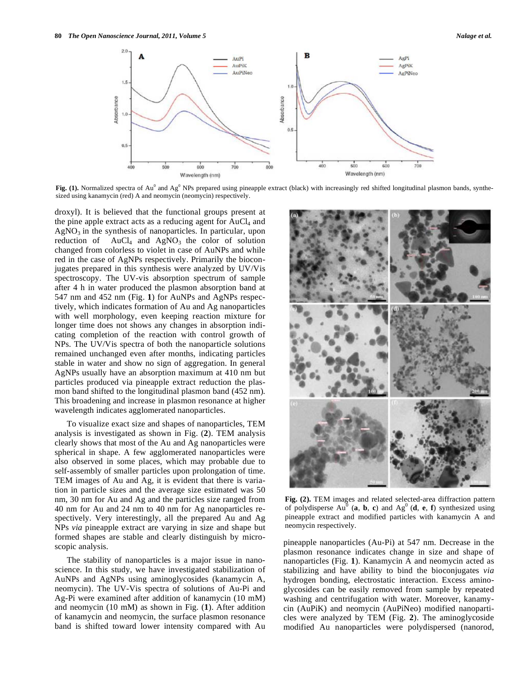

Fig. (1). Normalized spectra of Au<sup>0</sup> and Ag<sup>0</sup> NPs prepared using pineapple extract (black) with increasingly red shifted longitudinal plasmon bands, synthesized using kanamycin (red) A and neomycin (neomycin) respectively.

droxyl). It is believed that the functional groups present at the pine apple extract acts as a reducing agent for  $AuCl<sub>4</sub>$  and  $AgNO<sub>3</sub>$  in the synthesis of nanoparticles. In particular, upon reduction of  $AuCl<sub>4</sub>$  and  $AgNO<sub>3</sub>$  the color of solution changed from colorless to violet in case of AuNPs and while red in the case of AgNPs respectively. Primarily the bioconjugates prepared in this synthesis were analyzed by UV/Vis spectroscopy. The UV-vis absorption spectrum of sample after 4 h in water produced the plasmon absorption band at 547 nm and 452 nm (Fig. **1**) for AuNPs and AgNPs respectively, which indicates formation of Au and Ag nanoparticles with well morphology, even keeping reaction mixture for longer time does not shows any changes in absorption indicating completion of the reaction with control growth of NPs. The UV/Vis spectra of both the nanoparticle solutions remained unchanged even after months, indicating particles stable in water and show no sign of aggregation. In general AgNPs usually have an absorption maximum at 410 nm but particles produced via pineapple extract reduction the plasmon band shifted to the longitudinal plasmon band (452 nm). This broadening and increase in plasmon resonance at higher wavelength indicates agglomerated nanoparticles.

To visualize exact size and shapes of nanoparticles, TEM analysis is investigated as shown in Fig. (**2**). TEM analysis clearly shows that most of the Au and Ag nanoparticles were spherical in shape. A few agglomerated nanoparticles were also observed in some places, which may probable due to self-assembly of smaller particles upon prolongation of time. TEM images of Au and Ag, it is evident that there is variation in particle sizes and the average size estimated was 50 nm, 30 nm for Au and Ag and the particles size ranged from 40 nm for Au and 24 nm to 40 nm for Ag nanoparticles respectively. Very interestingly, all the prepared Au and Ag NPs *via* pineapple extract are varying in size and shape but formed shapes are stable and clearly distinguish by microscopic analysis.

The stability of nanoparticles is a major issue in nanoscience. In this study, we have investigated stabilization of AuNPs and AgNPs using aminoglycosides (kanamycin A, neomycin). The UV-Vis spectra of solutions of Au-Pi and Ag-Pi were examined after addition of kanamycin (10 mM) and neomycin (10 mM) as shown in Fig. (**1**). After addition of kanamycin and neomycin, the surface plasmon resonance band is shifted toward lower intensity compared with Au



**Fig. (2).** TEM images and related selected-area diffraction pattern of polydisperse  $Au^0$  (**a**, **b**, **c**) and  $Ag^0$  (**d**, **e**, **f**) synthesized using pineapple extract and modified particles with kanamycin A and neomycin respectively.

pineapple nanoparticles (Au-Pi) at 547 nm. Decrease in the plasmon resonance indicates change in size and shape of nanoparticles (Fig. **1**). Kanamycin A and neomycin acted as stabilizing and have ability to bind the bioconjugates *via* hydrogen bonding, electrostatic interaction. Excess aminoglycosides can be easily removed from sample by repeated washing and centrifugation with water. Moreover, kanamycin (AuPiK) and neomycin (AuPiNeo) modified nanoparticles were analyzed by TEM (Fig. **2**). The aminoglycoside modified Au nanoparticles were polydispersed (nanorod,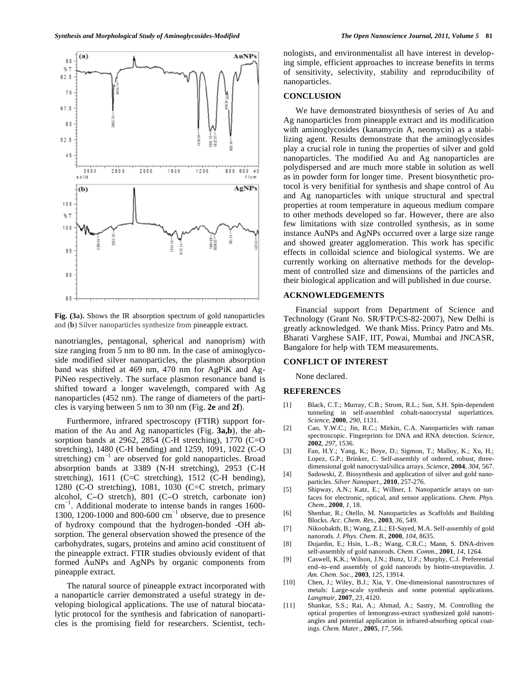

**Fig. (3a).** Shows the IR absorption spectrum of gold nanoparticles and (**b**) Silver nanoparticles synthesize from pineapple extract.

nanotriangles, pentagonal, spherical and nanoprism) with size ranging from 5 nm to 80 nm. In the case of aminoglycoside modified silver nanoparticles, the plasmon absorption band was shifted at 469 nm, 470 nm for AgPiK and Ag-PiNeo respectively. The surface plasmon resonance band is shifted toward a longer wavelength, compared with Ag nanoparticles (452 nm). The range of diameters of the particles is varying between 5 nm to 30 nm (Fig. **2e** and **2f**).

Furthermore, infrared spectroscopy (FTIR) support formation of the Au and Ag nanoparticles (Fig. **3a,b**), the absorption bands at 2962, 2854 (C-H stretching), 1770 (C=O stretching), 1480 (C-H bending) and 1259, 1091, 1022 (C-O stretching)  $cm^{-1}$  are observed for gold nanoparticles. Broad absorption bands at 3389 (N-H stretching), 2953 (C-H stretching), 1611 (C=C stretching), 1512 (C-H bending), 1280 (C-O stretching), 1081, 1030 (C=C stretch, primary alcohol,  $C-O$  stretch),  $801$   $(C-O$  stretch, carbonate ion)  $cm^{-1}$ . Additional moderate to intense bands in ranges 1600-1300, 1200-1000 and 800-600  $\text{cm}^{-1}$  observe, due to presence of hydroxy compound that the hydrogen-bonded -OH absorption. The general observation showed the presence of the carbohydrates, sugars, proteins and amino acid constituent of the pineapple extract. FTIR studies obviously evident of that formed AuNPs and AgNPs by organic components from pineapple extract.

The natural source of pineapple extract incorporated with a nanoparticle carrier demonstrated a useful strategy in developing biological applications. The use of natural biocatalytic protocol for the synthesis and fabrication of nanoparticles is the promising field for researchers. Scientist, technologists, and environmentalist all have interest in developing simple, efficient approaches to increase benefits in terms of sensitivity, selectivity, stability and reproducibility of nanoparticles.

#### **CONCLUSION**

We have demonstrated biosynthesis of series of Au and Ag nanoparticles from pineapple extract and its modification with aminoglycosides (kanamycin A, neomycin) as a stabilizing agent. Results demonstrate that the aminoglycosides play a crucial role in tuning the properties of silver and gold nanoparticles. The modified Au and Ag nanoparticles are polydispersed and are much more stable in solution as well as in powder form for longer time. Present biosynthetic protocol is very benifitial for synthesis and shape control of Au and Ag nanoparticles with unique structural and spectral properties at room temperature in aqueous medium compare to other methods developed so far. However, there are also few limitations with size controlled synthesis, as in some instance AuNPs and AgNPs occurred over a large size range and showed greater agglomeration. This work has specific effects in colloidal science and biological systems. We are currently working on alternative methods for the development of controlled size and dimensions of the particles and their biological application and will published in due course.

#### **ACKNOWLEDGEMENTS**

Financial support from Department of Science and Technology (Grant No. SR/FTP/CS-82-2007), New Delhi is greatly acknowledged. We thank Miss. Princy Patro and Ms. Bharati Varghese SAIF, IIT, Powai, Mumbai and JNCASR, Bangalore for help with TEM measurements.

## **CONFLICT OF INTEREST**

None declared.

# **REFERENCES**

- [1] Black, C.T.; Murray, C.B.; Strom, R.L.; Sun, S.H. Spin-dependent tunneling in self-assembled cobalt-nanocrystal superlattices. *Science*, **2000**, *290*, 1131.
- [2] Cao, Y.W.C.; Jin, R.C.; Mirkin, C.A. Nanoparticles with raman spectroscopic. Fingerprints for DNA and RNA detection. *Science,*  **2002**, *297*, 1536.
- [3] Fan, H.Y.; Yang, K.; Boye, D.; Sigmon, T.; Malloy, K.; Xu, H.; Lopez, G.P.; Brinker, C. Self-assembly of ordered, robust, threedimensional gold nanocrystal/silica arrays. *Science*, **2004**, *304*, 567.
- [4] Sadowski, Z. Biosynthesis and application of silver and gold nanoparticles. *Silver Nanopart.,* **2010**, 257-276.
- [5] Shipway, A.N.; Katz, E.; Willner, I. Nanoparticle arrays on surfaces for electronic, optical, and sensor applications. *Chem. Phys. Chem.*, **2000**, *1*, 18.
- [6] Shenhar, R.; Otello, M. Nanoparticles as Scaffolds and Building Blocks. *Acc. Chem. Res.*, **2003**, *36*, 549.
- [7] Nikoobakth, B.; Wang, Z.L.; EI-Sayed, M.A. Self-assembly of gold nanorods. *J. Phys. Chem. B.*, **2000**, *104*, 8635.
- [8] Dujardin, E.; Hsin, L.-B.; Wang, C.R.C.; Mann, S. DNA-driven self-assembly of gold nanorods. *Chem. Comm.*, **2001**, *14*, 1264.
- [9] Caswell, K.K.; Wilson, J.N.; Bunz, U.F.; Murphy, C.J. Preferential end–to–end assembly of gold nanorods by biotin-streptavidin. *J. Am. Chem. Soc.*, **2003**, *125*, 13914.
- [10] Chen, J.; Wiley, B.J.; Xia, Y. One-dimensional nanostructures of metals: Large-scale synthesis and some potential applications. *Langmuir*, **2007**, *23*, 4120.
- [11] Shankar, S.S.; Rai, A.; Ahmad, A.; Sastry, M. Controlling the optical properties of lemongrass-extract synthesized gold nanotriangles and potential application in infrared-absorbing optical coatings. *Chem. Mater.*, **2005**, *17*, 566.